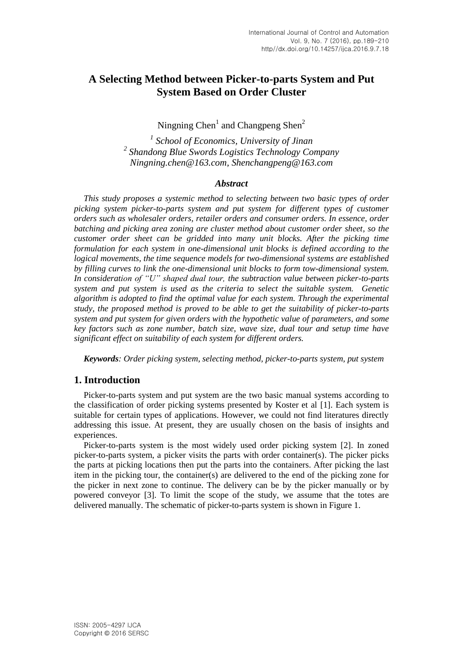# **A Selecting Method between Picker-to-parts System and Put System Based on Order Cluster**

Ningning  $Chen<sup>1</sup>$  and Changpeng Shen<sup>2</sup>

*1 School of Economics, University of Jinan 2 Shandong Blue Swords Logistics Technology Company [Ningning.chen@163.com,](mailto:Ningning.chen@163.com) Shenchangpeng@163.com*

### *Abstract*

*This study proposes a systemic method to selecting between two basic types of order picking system picker-to-parts system and put system for different types of customer orders such as wholesaler orders, retailer orders and consumer orders. In essence, order batching and picking area zoning are cluster method about customer order sheet, so the customer order sheet can be gridded into many unit blocks. After the picking time formulation for each system in one-dimensional unit blocks is defined according to the logical movements, the time sequence models for two-dimensional systems are established by filling curves to link the one-dimensional unit blocks to form tow-dimensional system. In consideration of "U" shaped dual tour, the subtraction value between picker-to-parts system and put system is used as the criteria to select the suitable system. Genetic algorithm is adopted to find the optimal value for each system. Through the experimental study, the proposed method is proved to be able to get the suitability of picker-to-parts system and put system for given orders with the hypothetic value of parameters, and some key factors such as zone number, batch size, wave size, dual tour and setup time have significant effect on suitability of each system for different orders.*

*Keywords: Order picking system, selecting method, picker-to-parts system, put system*

## **1. Introduction**

Picker-to-parts system and put system are the two basic manual systems according to the classification of order picking systems presented by Koster et al [1]. Each system is suitable for certain types of applications. However, we could not find literatures directly addressing this issue. At present, they are usually chosen on the basis of insights and experiences.

Picker-to-parts system is the most widely used order picking system [2]. In zoned picker-to-parts system, a picker visits the parts with order container(s). The picker picks the parts at picking locations then put the parts into the containers. After picking the last item in the picking tour, the container(s) are delivered to the end of the picking zone for the picker in next zone to continue. The delivery can be by the picker manually or by powered conveyor [3]. To limit the scope of the study, we assume that the totes are delivered manually. The schematic of picker-to-parts system is shown in Figure 1.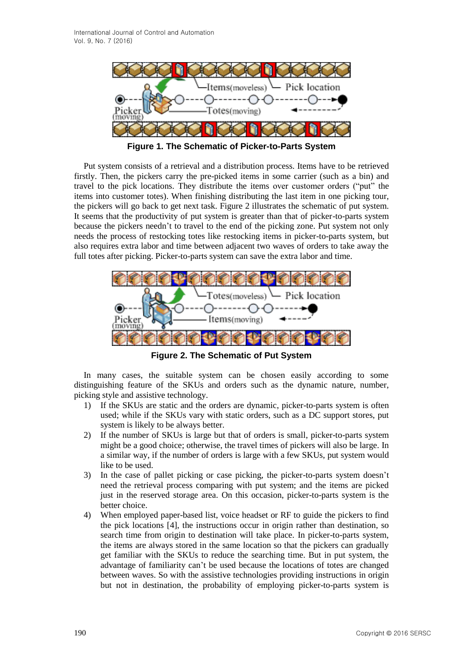

**Figure 1. The Schematic of Picker-to-Parts System**

Put system consists of a retrieval and a distribution process. Items have to be retrieved firstly. Then, the pickers carry the pre-picked items in some carrier (such as a bin) and travel to the pick locations. They distribute the items over customer orders ("put" the items into customer totes). When finishing distributing the last item in one picking tour, the pickers will go back to get next task. Figure 2 illustrates the schematic of put system. It seems that the productivity of put system is greater than that of picker-to-parts system because the pickers needn't to travel to the end of the picking zone. Put system not only needs the process of restocking totes like restocking items in picker-to-parts system, but also requires extra labor and time between adjacent two waves of orders to take away the full totes after picking. Picker-to-parts system can save the extra labor and time.



**Figure 2. The Schematic of Put System**

In many cases, the suitable system can be chosen easily according to some distinguishing feature of the SKUs and orders such as the dynamic nature, number, picking style and assistive technology.

- 1) If the SKUs are static and the orders are dynamic, picker-to-parts system is often used; while if the SKUs vary with static orders, such as a DC support stores, put system is likely to be always better.
- 2) If the number of SKUs is large but that of orders is small, picker-to-parts system might be a good choice; otherwise, the travel times of pickers will also be large. In a similar way, if the number of orders is large with a few SKUs, put system would like to be used.
- 3) In the case of pallet picking or case picking, the picker-to-parts system doesn't need the retrieval process comparing with put system; and the items are picked just in the reserved storage area. On this occasion, picker-to-parts system is the better choice.
- 4) When employed paper-based list, voice headset or RF to guide the pickers to find the pick locations [4], the instructions occur in origin rather than destination, so search time from origin to destination will take place. In picker-to-parts system, the items are always stored in the same location so that the pickers can gradually get familiar with the SKUs to reduce the searching time. But in put system, the advantage of familiarity can't be used because the locations of totes are changed between waves. So with the assistive technologies providing instructions in origin but not in destination, the probability of employing picker-to-parts system is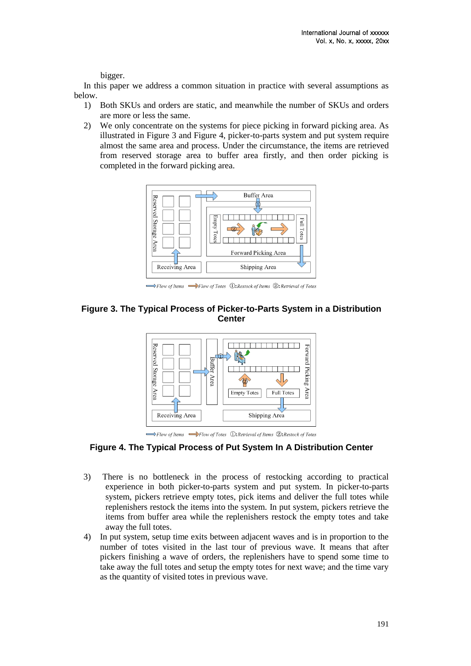bigger.

In this paper we address a common situation in practice with several assumptions as below.

- 1) Both SKUs and orders are static, and meanwhile the number of SKUs and orders are more or less the same.
- 2) We only concentrate on the systems for piece picking in forward picking area. As illustrated in Figure 3 and Figure 4, picker-to-parts system and put system require almost the same area and process. Under the circumstance, the items are retrieved from reserved storage area to buffer area firstly, and then order picking is completed in the forward picking area.



Flow of Items  $\longrightarrow$ Flow of Totes (D: Restock of Items (2): Retrieval of Totes

## **Figure 3. The Typical Process of Picker-to-Parts System in a Distribution Center**



 $\Longrightarrow$ Flow of Items  $\Longrightarrow$ Flow of Totes (D: Retrieval of Items (2: Restock of Totes

## **Figure 4. The Typical Process of Put System In A Distribution Center**

- 3) There is no bottleneck in the process of restocking according to practical experience in both picker-to-parts system and put system. In picker-to-parts system, pickers retrieve empty totes, pick items and deliver the full totes while replenishers restock the items into the system. In put system, pickers retrieve the items from buffer area while the replenishers restock the empty totes and take away the full totes.
- 4) In put system, setup time exits between adjacent waves and is in proportion to the number of totes visited in the last tour of previous wave. It means that after pickers finishing a wave of orders, the replenishers have to spend some time to take away the full totes and setup the empty totes for next wave; and the time vary as the quantity of visited totes in previous wave.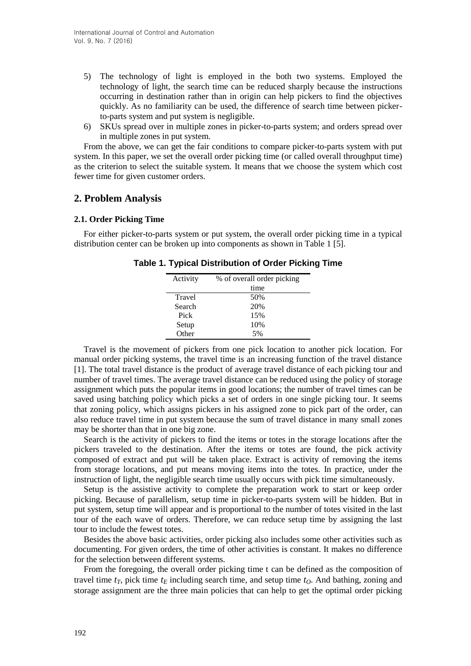- 5) The technology of light is employed in the both two systems. Employed the technology of light, the search time can be reduced sharply because the instructions occurring in destination rather than in origin can help pickers to find the objectives quickly. As no familiarity can be used, the difference of search time between pickerto-parts system and put system is negligible.
- 6) SKUs spread over in multiple zones in picker-to-parts system; and orders spread over in multiple zones in put system.

From the above, we can get the fair conditions to compare picker-to-parts system with put system. In this paper, we set the overall order picking time (or called overall throughput time) as the criterion to select the suitable system. It means that we choose the system which cost fewer time for given customer orders.

## **2. Problem Analysis**

### **2.1. Order Picking Time**

For either picker-to-parts system or put system, the overall order picking time in a typical distribution center can be broken up into components as shown in Table 1 [5].

| % of overall order picking |
|----------------------------|
| time                       |
| 50%                        |
| 20%                        |
| 15%                        |
| 10%                        |
| 5%                         |
|                            |

**Table 1. Typical Distribution of Order Picking Time**

Travel is the movement of pickers from one pick location to another pick location. For manual order picking systems, the travel time is an increasing function of the travel distance [1]. The total travel distance is the product of average travel distance of each picking tour and number of travel times. The average travel distance can be reduced using the policy of storage assignment which puts the popular items in good locations; the number of travel times can be saved using batching policy which picks a set of orders in one single picking tour. It seems that zoning policy, which assigns pickers in his assigned zone to pick part of the order, can also reduce travel time in put system because the sum of travel distance in many small zones may be shorter than that in one big zone.

Search is the activity of pickers to find the items or totes in the storage locations after the pickers traveled to the destination. After the items or totes are found, the pick activity composed of extract and put will be taken place. Extract is activity of removing the items from storage locations, and put means moving items into the totes. In practice, under the instruction of light, the negligible search time usually occurs with pick time simultaneously.

Setup is the assistive activity to complete the preparation work to start or keep order picking. Because of parallelism, setup time in picker-to-parts system will be hidden. But in put system, setup time will appear and is proportional to the number of totes visited in the last tour of the each wave of orders. Therefore, we can reduce setup time by assigning the last tour to include the fewest totes.

Besides the above basic activities, order picking also includes some other activities such as documenting. For given orders, the time of other activities is constant. It makes no difference for the selection between different systems.

From the foregoing, the overall order picking time t can be defined as the composition of travel time  $t_T$ , pick time  $t_E$  including search time, and setup time  $t_O$ . And bathing, zoning and storage assignment are the three main policies that can help to get the optimal order picking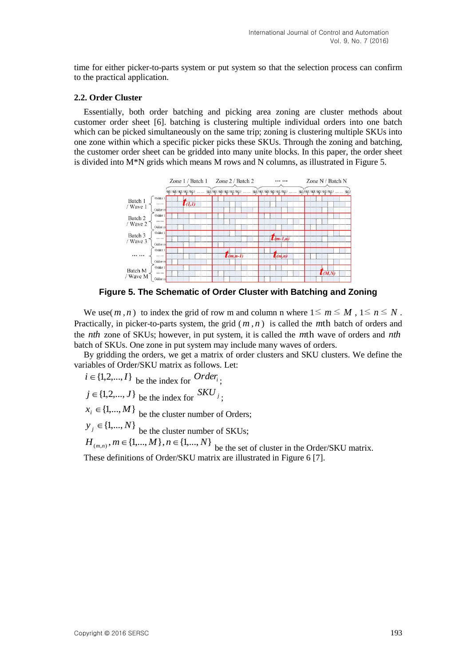time for either picker-to-parts system or put system so that the selection process can confirm to the practical application.

#### **2.2. Order Cluster**

Essentially, both order batching and picking area zoning are cluster methods about customer order sheet [6]. batching is clustering multiple individual orders into one batch which can be picked simultaneously on the same trip; zoning is clustering multiple SKUs into one zone within which a specific picker picks these SKUs. Through the zoning and batching, the customer order sheet can be gridded into many unite blocks. In this paper, the order sheet is divided into  $M^*N$  grids which means M rows and N columns, as illustrated in Figure 5.



**Figure 5. The Schematic of Order Cluster with Batching and Zoning**

We use(*m*,*n*) to index the grid of row m and column n where  $1 \le m \le M$ ,  $1 \le n \le N$ . Practically, in picker-to-parts system, the grid  $(m, n)$  is called the *m*th batch of orders and the *nth* zone of SKUs; however, in put system, it is called the *m*th wave of orders and *nth* batch of SKUs. One zone in put system may include many waves of orders.

By gridding the orders, we get a matrix of order clusters and SKU clusters. We define the variables of Order/SKU matrix as follows. Let:

 $i \in \{1, 2, ..., I\}$  be the index for  $Order_i$ ;

 $j \in \{1, 2, ..., J\}$  be the index for  $S K U_j$ ;

 $x_i \in \{1,..., M\}$  be the cluster number of Orders;

 $y_j \in \{1,..., N\}$  be the cluster number of SKUs;

 $H_{(m,n)}, m \in \{1,..., M\}$ ,  $n \in \{1,..., N\}$  be the set of cluster in the Order/SKU matrix. These definitions of Order/SKU matrix are illustrated in Figure 6 [7].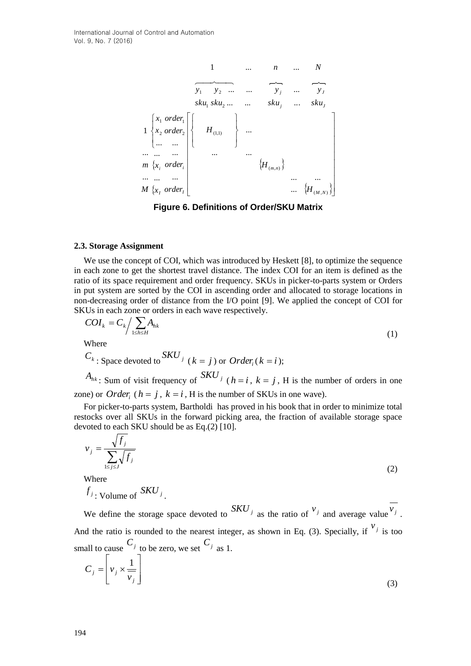

**Figure 6. Definitions of Order/SKU Matrix**

#### **2.3. Storage Assignment**

We use the concept of COI, which was introduced by Heskett [8], to optimize the sequence in each zone to get the shortest travel distance. The index COI for an item is defined as the ratio of its space requirement and order frequency. SKUs in picker-to-parts system or Orders in put system are sorted by the COI in ascending order and allocated to storage locations in non-decreasing order of distance from the I/O point [9]. We applied the concept of COI for SKUs in each zone or orders in each wave respectively.

$$
COI_k = C_k / \sum_{1 \le h \le H} A_{hk}
$$
\nWhere

\n
$$
(1)
$$

$$
C_k
$$
: Space devoted to  $SKU_j$  ( $k = j$ ) or  $Order_i$  ( $k = i$ );

 $A_{hk}$ : Sum of visit frequency of  $S\cdot K\cdot U$  *j* ( $h = i$ ,  $k = j$ , H is the number of orders in one zone) or *Order*<sub>*i*</sub> ( $h = j$ ,  $k = i$ , H is the number of SKUs in one wave).

For picker-to-parts system, Bartholdi has proved in his book that in order to minimize total restocks over all SKUs in the forward picking area, the fraction of available storage space devoted to each SKU should be as Eq.(2) [10].

$$
v_j = \frac{\sqrt{f_j}}{\sum_{1 \le j \le J} \sqrt{f_j}}
$$
\nWhere

Where

$$
f_j
$$
: Volume of  $SKU_j$ .

We define the storage space devoted to  $S K U_j$  as the ratio of  $v_j$  and average value  $v_j$ . And the ratio is rounded to the nearest integer, as shown in Eq. (3). Specially, if  $\frac{v_j}{v_j}$  is too small to cause  $C_j$  to be zero, we set  $C_j$  as 1.

$$
C_j = \left[ v_j \times \frac{1}{v_j} \right]
$$
 (3)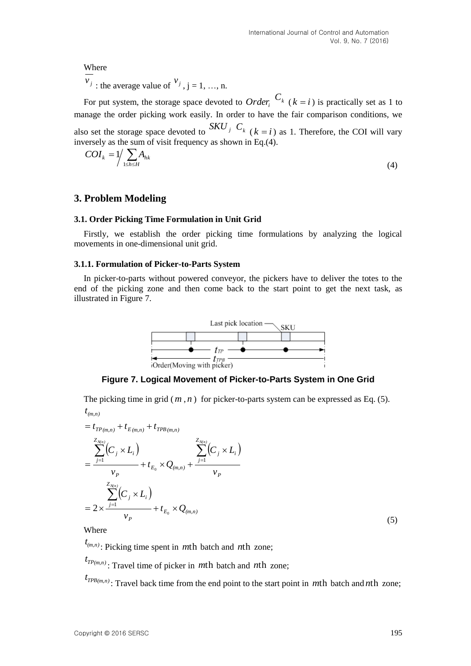**Where** 

 $v_j$ : the average value of  $v_j$ ,  $j = 1, ..., n$ .

For put system, the storage space devoted to *Order*<sup>*c*</sup> ( $k = i$ ) is practically set as 1 to manage the order picking work easily. In order to have the fair comparison conditions, we also set the storage space devoted to  $S K U_j$   $C_k$  ( $k = i$ ) as 1. Therefore, the COI will vary inversely as the sum of visit frequency as shown in Eq.(4).

$$
COI_k = 1/\sum_{1 \le h \le H} A_{hk} \tag{4}
$$

## **3. Problem Modeling**

#### **3.1. Order Picking Time Formulation in Unit Grid**

Firstly, we establish the order picking time formulations by analyzing the logical movements in one-dimensional unit grid.

### **3.1.1. Formulation of Picker-to-Parts System**

In picker-to-parts without powered conveyor, the pickers have to deliver the totes to the end of the picking zone and then come back to the start point to get the next task, as illustrated in Figure 7.



**Figure 7. Logical Movement of Picker-to-Parts System in One Grid**

The picking time in grid  $(m, n)$  for picker-to-parts system can be expressed as Eq. (5). *(m,n) t*

$$
= t_{TP(m,n)} + t_{E(m,n)} + t_{TPB(m,n)}
$$
  
\n
$$
= \frac{\sum_{j=1}^{Z_{N(n)}} (C_j \times L_i)}{v_P} + t_{E_0} \times Q_{(m,n)} + \frac{\sum_{j=1}^{Z_{N(n)}} (C_j \times L_i)}{v_P}
$$
  
\n
$$
= 2 \times \frac{\sum_{j=1}^{Z_{N(n)}} (C_j \times L_i)}{v_P} + t_{E_0} \times Q_{(m,n)}
$$
\n(5)

Where

 $(t_{(m,n)}$ : Picking time spent in *m*th batch and *n*th zone;

*TP(m,n) t* : Travel time of picker in *m*th batch and *n*th zone;

*TPB(m,n) t* : Travel back time from the end point to the start point in *m*th batch and *n*th zone;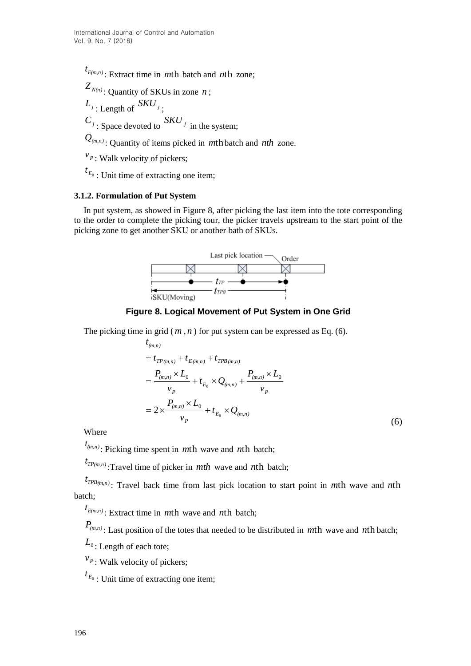$t_{E(m,n)}$ : Extract time in *m*th batch and *n*th zone;

 $Z_{N(n)}$ : Quantity of SKUs in zone *n*;

$$
L_{j}
$$
: Length of  $SKU_{j}$ ;

 $C_j$ : Space devoted to  $S K U_j$  in the system;

 $Q_{(m,n)}$ : Quantity of items picked in *m*th batch and *nth* zone.

*P v* : Walk velocity of pickers;

*E*0 *t* : Unit time of extracting one item;

## **3.1.2. Formulation of Put System**

In put system, as showed in Figure 8, after picking the last item into the tote corresponding to the order to complete the picking tour, the picker travels upstream to the start point of the picking zone to get another SKU or another bath of SKUs.



## **Figure 8. Logical Movement of Put System in One Grid**

The picking time in grid  $(m, n)$  for put system can be expressed as Eq.  $(6)$ .

$$
t_{(m,n)} = t_{TP(m,n)} + t_{E(m,n)} + t_{TPB(m,n)} = \frac{P_{(m,n)} \times L_0}{v_P} + t_{E_0} \times Q_{(m,n)} + \frac{P_{(m,n)} \times L_0}{v_P} = 2 \times \frac{P_{(m,n)} \times L_0}{v_P} + t_{E_0} \times Q_{(m,n)}
$$
(6)

Where

 $(t_{(m,n)}$ : Picking time spent in *m*th wave and *n*th batch;

 $t_{TP(m,n)}$ :Travel time of picker in *mth* wave and *nth* batch;

*TPB(m,n) t* : Travel back time from last pick location to start point in *m*th wave and *n*th batch;

 $t_{E(m,n)}$ : Extract time in *m*th wave and *n*th batch;

*P(m,n)* : Last position of the totes that needed to be distributed in *m*th wave and *n*th batch;

 $L_{0}$  : Length of each tote;

 $v_{P}$ : Walk velocity of pickers;

*E*0 *t* : Unit time of extracting one item;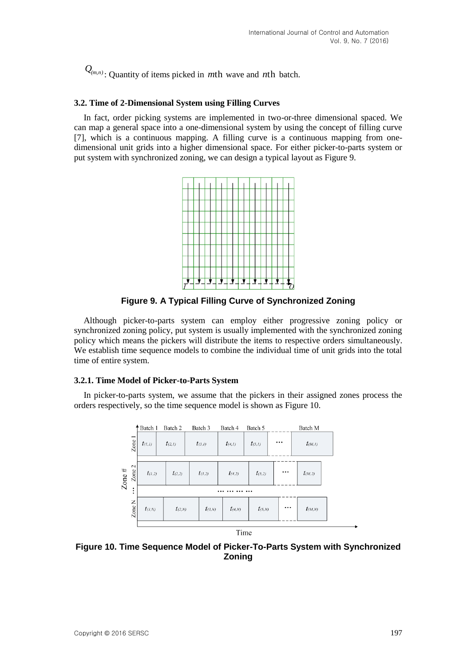: Quantity of items picked in *m*th wave and *n*th batch.

## **3.2. Time of 2-Dimensional System using Filling Curves**

In fact, order picking systems are implemented in two-or-three dimensional spaced. We can map a general space into a one-dimensional system by using the concept of filling curve [7], which is a continuous mapping. A filling curve is a continuous mapping from onedimensional unit grids into a higher dimensional space. For either picker-to-parts system or put system with synchronized zoning, we can design a typical layout as Figure 9.



**Figure 9. A Typical Filling Curve of Synchronized Zoning**

Although picker-to-parts system can employ either progressive zoning policy or synchronized zoning policy, put system is usually implemented with the synchronized zoning policy which means the pickers will distribute the items to respective orders simultaneously. We establish time sequence models to combine the individual time of unit grids into the total time of entire system.

## **3.2.1. Time Model of Picker-to-Parts System**

In picker-to-parts system, we assume that the pickers in their assigned zones process the orders respectively, so the time sequence model is shown as Figure 10.



**Figure 10. Time Sequence Model of Picker-To-Parts System with Synchronized Zoning**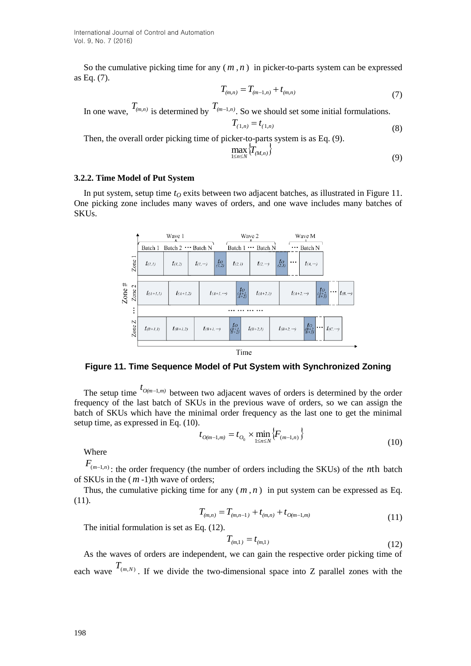International Journal of Control and Automation Vol. 9, No. 7 (2016)

So the cumulative picking time for any  $(m, n)$  in picker-to-parts system can be expressed as Eq. (7).

$$
T_{(m,n)} = T_{(m-1,n)} + t_{(m,n)}
$$
\n(7)

In one wave,  $T_{(m,n)}$  is determined by  $T_{(m-1,n)}$ . So we should set some initial formulations.

$$
T_{(1,n)} = t_{(1,n)} \tag{8}
$$

Then, the overall order picking time of picker-to-parts system is as Eq. (9).

$$
\max_{1 \le n \le N} \left\{ T_{(M,n)} \right\} \tag{9}
$$

## **3.2.2. Time Model of Put System**

In put system, setup time *t<sup>O</sup>* exits between two adjacent batches, as illustrated in Figure 11. One picking zone includes many waves of orders, and one wave includes many batches of SKUs.



**Figure 11. Time Sequence Model of Put System with Synchronized Zoning**

The setup time  $t_{O(m-1,m)}$  between two adjacent waves of orders is determined by the order frequency of the last batch of SKUs in the previous wave of orders, so we can assign the batch of SKUs which have the minimal order frequency as the last one to get the minimal setup time, as expressed in Eq. (10).

$$
t_{O(m-1,m)} = t_{O_0} \times \min_{1 \le n \le N} \{ F_{(m-1,n)} \}
$$
\n(10)

Where

 $F_{(m-1,n)}$ : the order frequency (the number of orders including the SKUs) of the *n*th batch of SKUs in the ( *m* -1)th wave of orders;

Thus, the cumulative picking time for any  $(m, n)$  in put system can be expressed as Eq. (11).

$$
T_{(m,n)} = T_{(m,n-1)} + t_{(m,n)} + t_{O(m-1,m)}
$$
\n(11)

The initial formulation is set as Eq. (12).

$$
T_{(m,1)} = t_{(m,1)} \tag{12}
$$

As the waves of orders are independent, we can gain the respective order picking time of each wave  $T_{(m,N)}$ . If we divide the two-dimensional space into Z parallel zones with the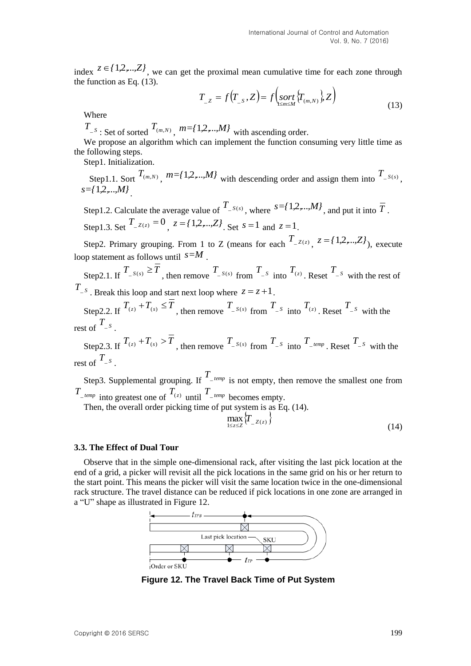index  $z \in \{1,2,...,Z\}$ , we can get the proximal mean cumulative time for each zone through the function as Eq. (13).

$$
T_{Z} = f(T_{S}, Z) = f\left(\underset{1 \le m \le M}{sort} \{T_{(m, N)}\} Z\right)
$$
\n(13)

Where

 $T_{-S}$ : Set of sorted  $T_{(m,N)}$ ,  $m=f\{1,2,...,M\}$  with ascending order.

We propose an algorithm which can implement the function consuming very little time as the following steps.

Step1. Initialization.

Step1.1. Sort  $T_{(m,N)}$ ,  $m = \{1,2,...,M\}$  with descending order and assign them into  $T_{-S(s)}$ , *s={*1*,*2*,*...*,M}* .

Step1.2. Calculate the average value of  $T_{S(s)}$ , where  $S = \{1, 2, ..., M\}$ , and put it into  $\overline{T}$ . Step1.3. Set  $T_{z(z)} = 0$ ,  $z = \{1, 2, ..., Z\}$ . Set  $s = 1$  and  $z = 1$ .

Step2. Primary grouping. From 1 to Z (means for each  $T_{Z(z)}$ ,  $z = \{1, 2, ..., Z\}$ ), execute loop statement as follows until *s=M* .

Step2.1. If  $T_{-S(s)} \geq T$ , then remove  $T_{-S(s)}$  from  $T_{-S}$  into  $T_{(z)}$ . Reset  $T_{-S(s)}$  with the rest of  $T_{-S}$ . Break this loop and start next loop where  $z = z + 1$ .

Step2.2. If  $T_{(z)} + T_{(s)} \leq T$ , then remove  $T_{-S(s)}$  from  $T_{-S}$  into  $T_{(z)}$ . Reset  $T_{-S}$  with the rest of  $T_{-S}$ .

Step2.3. If  $T_{(z)} + T_{(s)} > T$ , then remove  $T_{-S(s)}$  from  $T_{-S}$  into  $T_{-temp}$ . Reset  $T_{-S}$  with the rest of  $T_{-S}$ .

Step3. Supplemental grouping. If  $T_{\text{temp}}$  is not empty, then remove the smallest one from  $T_{\text{temp}}$  into greatest one of  $T_{(z)}$  until  $T_{\text{temp}}$  becomes empty.

Then, the overall order picking time of put system is as Eq. (14).

$$
\max_{1 \le z \le Z} \left\{ T_{-Z(z)} \right\} \tag{14}
$$

#### **3.3. The Effect of Dual Tour**

Observe that in the simple one-dimensional rack, after visiting the last pick location at the end of a grid, a picker will revisit all the pick locations in the same grid on his or her return to the start point. This means the picker will visit the same location twice in the one-dimensional rack structure. The travel distance can be reduced if pick locations in one zone are arranged in a "U" shape as illustrated in Figure 12.



**Figure 12. The Travel Back Time of Put System**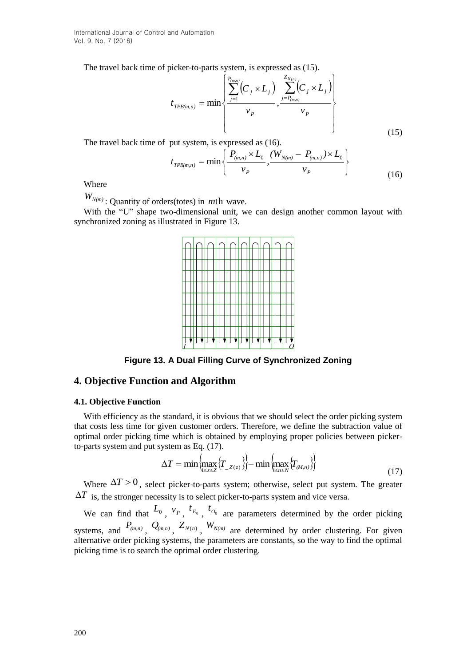International Journal of Control and Automation Vol. 9, No. 7 (2016)

The travel back time of picker-to-parts system, is expressed as (15).

$$
t_{TPB(m,n)} = \min\left\{\frac{\sum_{j=1}^{P_{(m,n)}} (C_j \times L_j)}{v_P}, \frac{\sum_{j=P_{(m,n)}}^{Z_{N(n)}} (C_j \times L_j)}{v_P}\right\}
$$
(15)

The travel back time of put system, is expressed as (16).

$$
t_{TPB(m,n)} = \min\left\{\frac{P_{(m,n)} \times L_0}{\nu_P}, \frac{(W_{N(m)} - P_{(m,n)}) \times L_0}{\nu_P}\right\}
$$
(16)

Where

*WN(m)* : Quantity of orders(totes) in *m*th wave.

With the "U" shape two-dimensional unit, we can design another common layout with synchronized zoning as illustrated in Figure 13.



**Figure 13. A Dual Filling Curve of Synchronized Zoning**

## **4. Objective Function and Algorithm**

#### **4.1. Objective Function**

With efficiency as the standard, it is obvious that we should select the order picking system that costs less time for given customer orders. Therefore, we define the subtraction value of optimal order picking time which is obtained by employing proper policies between pickerto-parts system and put system as Eq. (17).

$$
\Delta T = \min \left\{ \max_{1 \le z \le Z} \left\{ T_{Z(z)} \right\} \right\} - \min \left\{ \max_{1 \le n \le N} \left\{ T_{(M,n)} \right\} \right\} \tag{17}
$$

Where  $\Delta T > 0$ , select picker-to-parts system; otherwise, select put system. The greater  $\Delta T$  is, the stronger necessity is to select picker-to-parts system and vice versa.

We can find that  $L_0$ ,  $v_p$ ,  $t_{E_0}$ ,  $t_{O_0}$  are parameters determined by the order picking systems, and  $P_{(m,n)}$ ,  $Q_{(m,n)}$ ,  $Z_{N(n)}$ ,  $W_{N(m)}$  are determined by order clustering. For given alternative order picking systems, the parameters are constants, so the way to find the optimal picking time is to search the optimal order clustering.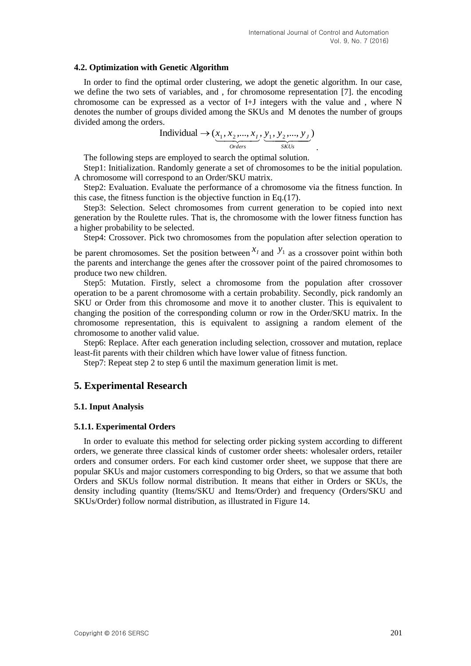### **4.2. Optimization with Genetic Algorithm**

In order to find the optimal order clustering, we adopt the genetic algorithm. In our case, we define the two sets of variables, and , for chromosome representation [7]. the encoding chromosome can be expressed as a vector of I+J integers with the value and , where N denotes the number of groups divided among the SKUs and M denotes the number of groups divided among the orders.

$$
Individual \rightarrow (\underbrace{x_1, x_2, ..., x_I}_{Orders}, \underbrace{y_1, y_2, ..., y_J}_{SKUs}).
$$

The following steps are employed to search the optimal solution.

Step1: Initialization. Randomly generate a set of chromosomes to be the initial population. A chromosome will correspond to an Order/SKU matrix.

Step2: Evaluation. Evaluate the performance of a chromosome via the fitness function. In this case, the fitness function is the objective function in Eq.(17).

Step3: Selection. Select chromosomes from current generation to be copied into next generation by the Roulette rules. That is, the chromosome with the lower fitness function has a higher probability to be selected.

Step4: Crossover. Pick two chromosomes from the population after selection operation to

be parent chromosomes. Set the position between  $x_i$  and  $y_i$  as a crossover point within both the parents and interchange the genes after the crossover point of the paired chromosomes to produce two new children.

Step5: Mutation. Firstly, select a chromosome from the population after crossover operation to be a parent chromosome with a certain probability. Secondly, pick randomly an SKU or Order from this chromosome and move it to another cluster. This is equivalent to changing the position of the corresponding column or row in the Order/SKU matrix. In the chromosome representation, this is equivalent to assigning a random element of the chromosome to another valid value.

Step6: Replace. After each generation including selection, crossover and mutation, replace least-fit parents with their children which have lower value of fitness function.

Step7: Repeat step 2 to step 6 until the maximum generation limit is met.

## **5. Experimental Research**

### **5.1. Input Analysis**

#### **5.1.1. Experimental Orders**

In order to evaluate this method for selecting order picking system according to different orders, we generate three classical kinds of customer order sheets: wholesaler orders, retailer orders and consumer orders. For each kind customer order sheet, we suppose that there are popular SKUs and major customers corresponding to big Orders, so that we assume that both Orders and SKUs follow normal distribution. It means that either in Orders or SKUs, the density including quantity (Items/SKU and Items/Order) and frequency (Orders/SKU and SKUs/Order) follow normal distribution, as illustrated in Figure 14.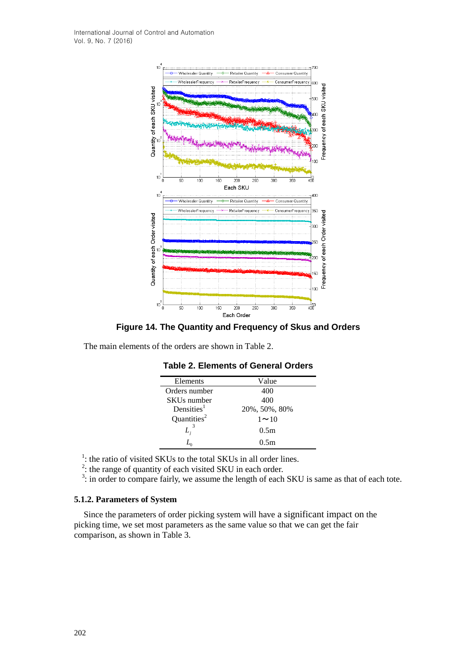

**Figure 14. The Quantity and Frequency of Skus and Orders**

The main elements of the orders are shown in Table 2.

| Elements                | Value            |
|-------------------------|------------------|
| Orders number           | 400              |
| SKUs number             | 400              |
| Densities <sup>1</sup>  | 20%, 50%, 80%    |
| Quantities <sup>2</sup> | $1 \sim 10$      |
|                         | 0.5 <sub>m</sub> |
|                         | 0.5m             |

## **Table 2. Elements of General Orders**

<sup>1</sup>: the ratio of visited SKUs to the total SKUs in all order lines.<br><sup>2</sup>: the range of quantity of each visited SKU in each order.

 $3$ : in order to compare fairly, we assume the length of each SKU is same as that of each tote.

### **5.1.2. Parameters of System**

Since the parameters of order picking system will have a significant impact on the picking time, we set most parameters as the same value so that we can get the fair comparison, as shown in Table 3.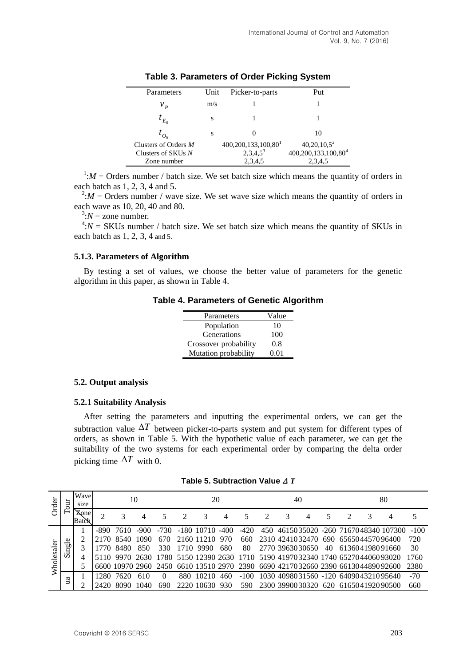| Parameters                        | Unit | Picker-to-parts                   | Put                             |
|-----------------------------------|------|-----------------------------------|---------------------------------|
| $v_{\rm{\,\scriptscriptstyle p}}$ | m/s  |                                   |                                 |
| $t_{E_0}$                         | S    |                                   |                                 |
| $I_{O_0}$                         | S    |                                   | 10                              |
| Clusters of Orders M              |      | $400,200,133,100,80$ <sup>1</sup> | $40,20,10,5^2$                  |
| Clusters of SKUs N                |      | $2,3,4,5^3$                       | 400,200,133,100,80 <sup>4</sup> |
| Zone number                       |      | 2,3,4,5                           | 2,3,4,5                         |

**Table 3. Parameters of Order Picking System**

 $1:M =$  Orders number / batch size. We set batch size which means the quantity of orders in each batch as 1, 2, 3, 4 and 5.

 $2:M =$  Orders number / wave size. We set wave size which means the quantity of orders in each wave as 10, 20, 40 and 80.

 $3:N =$ zone number.

 $4:N = SKUs$  number / batch size. We set batch size which means the quantity of SKUs in each batch as 1, 2, 3, 4 and 5.

#### **5.1.3. Parameters of Algorithm**

By testing a set of values, we choose the better value of parameters for the genetic algorithm in this paper, as shown in Table 4.

**Table 4. Parameters of Genetic Algorithm**

| Parameters            | Value |
|-----------------------|-------|
| Population            | 10    |
| Generations           | 100   |
| Crossover probability | 0.8   |
| Mutation probability  | 0.01  |

#### **5.2. Output analysis**

### **5.2.1 Suitability Analysis**

After setting the parameters and inputting the experimental orders, we can get the subtraction value  $\Delta T$  between picker-to-parts system and put system for different types of orders, as shown in Table 5. With the hypothetic value of each parameter, we can get the suitability of the two systems for each experimental order by comparing the delta order picking time  $\Delta T$  with 0.

| Table 5. Subtraction Value $\Delta T$ |  |  |  |  |  |  |  |
|---------------------------------------|--|--|--|--|--|--|--|
|---------------------------------------|--|--|--|--|--|--|--|

| Order            | Tour   | Wave<br>10<br>size   |       |           |        |          |       | 20             |        |        | 40 |                 |  | 80 |  |  |                                                                                 |        |
|------------------|--------|----------------------|-------|-----------|--------|----------|-------|----------------|--------|--------|----|-----------------|--|----|--|--|---------------------------------------------------------------------------------|--------|
|                  |        | <b>Zone</b><br>Batch | 2     | 3         |        |          |       |                |        |        |    |                 |  |    |  |  |                                                                                 | 5      |
|                  |        |                      | -890- | 7610      | $-900$ | -730     |       | $-180$ 10710   | $-400$ | $-420$ |    |                 |  |    |  |  | 450 4615035020 -260 7167048340 107300                                           | $-100$ |
|                  |        |                      | 2170  | 8540      | 1090   | 670      |       | 2160 11210 970 |        | 660.   |    |                 |  |    |  |  | 2310 4241032470 690 656504457096400                                             | 720    |
|                  | Single |                      | 1770  | 8480      | 850    | 330      |       | 1710 9990      | 680    | 80     |    | 2770 3963030650 |  | 40 |  |  | 613604198091660                                                                 | 30     |
| olesal           |        |                      |       | 5110 9970 | 2630   |          |       |                |        |        |    |                 |  |    |  |  | 1780 5150 12390 2630 1710 5190 4197032340 1740 6527044060 93020                 | 1760   |
| $\sum_{i=1}^{n}$ |        |                      |       |           |        |          |       |                |        |        |    |                 |  |    |  |  | 6600 10970 2960 2450 6610 13510 2970 2390 6690 4217032660 2390 6613044890 92600 | 2380   |
|                  |        |                      | 12.80 | 7620      | 610    | $\Omega$ | 880   | 10210          | 460    | $-100$ |    |                 |  |    |  |  | 1030 4098031560 -120 640904321095640                                            | $-70$  |
| пa               |        |                      | 2420  |           |        | 690      | 2220- | 10630.         | -930   | 590    |    | 2300 3990030320 |  |    |  |  | 620 616504192090500                                                             | 660    |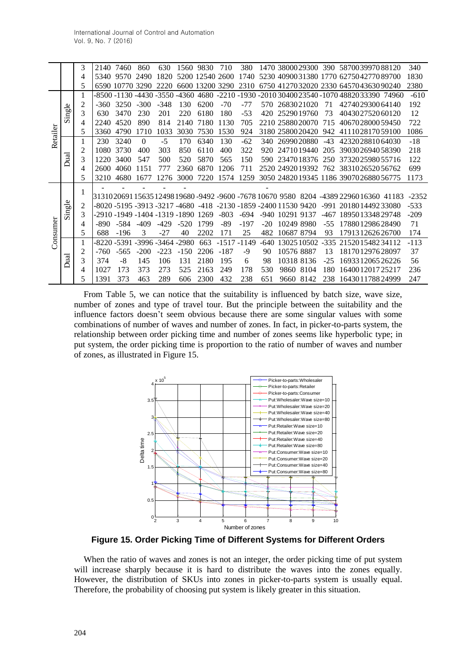|          |        | 3              | 2140  | 7460                                      | 860      | 630    | 1560                | 9830            | 710     | 380   |                          |                              |        | 1470 38000 29300 390 58700 39970 88120                                              |       | 340     |
|----------|--------|----------------|-------|-------------------------------------------|----------|--------|---------------------|-----------------|---------|-------|--------------------------|------------------------------|--------|-------------------------------------------------------------------------------------|-------|---------|
|          |        | 4              | 5340  | 9570                                      | 2490     | 1820   |                     | 5200 12540 2600 |         | 1740  |                          |                              |        | 5230 4090031380 1770 627504277089700                                                |       | 1830    |
|          |        | 5              | 6590  | 10770                                     | 3290     | 2220   |                     | 6600 13200 3290 |         | 2310  |                          |                              |        | 6750 4127032020 2330 645704363090240                                                |       | 2380    |
|          |        |                | -8500 | $-1130$                                   | -4430    |        | $-3550 - 4360$ 4680 |                 | $-2210$ |       |                          |                              |        | -1930 -2010 30400 23540 -1070 48820 33390                                           | 74960 | $-610$  |
|          |        |                | -360  | 3250                                      | -300     | $-348$ | 130                 | 6200            | $-70$   | $-77$ | 570                      | 2683021020                   | 71     | 427402930064140                                                                     |       | 192     |
|          | Single | 3              | 630   | 3470                                      | 230      | 201    | 220                 | 6180            | 180     | $-53$ | 420                      | 2529019760                   | 73     | 404302752060120                                                                     |       | 12      |
|          |        | 4              | 2240  | 4520                                      | 890      | 814    | 2140                | 7180            | 1130    | 705   |                          | 2210 2588020070              | 715    | 406702800059450                                                                     |       | 722     |
| Retailer |        | 5              | 3360  | 4790                                      | 1710     | 1033   | 3030                | 7530            | 1530    | 924   |                          | 3180 25800 20420             | 942    | 411102817059100                                                                     |       | 1086    |
|          |        |                | 230   | 3240                                      | $\Omega$ | $-5$   | 170                 | 6340            | 130     | $-62$ | 340                      | 2699020880                   | $-43$  | 423202881064030                                                                     |       | $-18$   |
|          |        | $\overline{c}$ | 1080  | 3730                                      | 400      | 303    | 850                 | 6110            | 400     | 322   | 920                      | 2471019440                   | 205    | 390302694058390                                                                     |       | 218     |
|          | Dual   | 3              | 1220  | 3400                                      | 547      | 500    | 520                 | 5870            | 565     | 150   | 590.                     | 2347018376                   | 250    | 373202598055716                                                                     |       | 122     |
|          |        | 4              | 2600  | 4060                                      | 1151     | 777    | 2360                | 6870            | 1206    | 711   |                          | 2520 2492019392              | 762    | 383102652056762                                                                     |       | 699     |
|          |        | 5              | 3210  | 4680                                      | 167      | 1276   | 3000                | 7220            | 1574    | 1259  |                          |                              |        | 3050 24820 19345 1186 39070 26880 56775                                             |       | 1173    |
|          |        |                |       |                                           |          |        |                     |                 |         |       | $\overline{\phantom{a}}$ |                              |        |                                                                                     |       |         |
|          |        | $\bf{l}$       |       |                                           |          |        |                     |                 |         |       |                          |                              |        | 3131020691 15635 12498 19680 -9492 -9600 -7678 10670 9580   8204  -4389 22960 16360 | 41183 | $-2352$ |
|          | ingle  | 2              |       | $-8020 - 5195 - 3913 - 3217 - 4680 - 418$ |          |        |                     |                 |         |       |                          | -2130 -1859 -2400 11530 9420 | -991   | 201801449233080                                                                     |       | $-533$  |
|          | Ď      | 3              |       | -2910 -1949 -1404 -1319 -1890             |          |        |                     | 1269            | $-803$  | -694  | -940                     | 10291 9137                   | -467   | 189501334829748                                                                     |       | $-209$  |
|          |        | 4              | -890  | -584                                      | $-409$   | -429   | $-520$              | 1799            | -89     | -197  | $-20$                    | 10249 8980                   | $-55$  | 178801298628490                                                                     |       | 71      |
| Consumer |        | 5              | 688   | $-196$                                    | 3        | -27    | 40                  | 2202            | 171     | 25    | 482                      | 10687 8794                   | 93     | 179131262626700                                                                     |       | 174     |
|          |        |                | -8220 | -5391                                     | -3996    | 3464   | $-2980$             | 663             | $-1517$ | -1149 | -640                     | 13025 10502                  | $-335$ | 215201548234112                                                                     |       | $-113$  |
|          |        | 2              | -760  | -565                                      | $-200$   | $-223$ | $-150$              | 2206            | $-187$  | -9    | 90                       | 10576 8887                   | 13     | 181701297628097                                                                     |       | 37      |
|          | Dual   | 3              | 374   | -8                                        | 145      | 106    | 131                 | 2180            | 195     | 6     | 98                       | 10318 8136                   | $-25$  | 169331206526226                                                                     |       | 56      |
|          |        | 4              | 1027  | 173                                       | 373      | 273    | 525                 | 2163            | 249     | 178   | 530                      | 9860<br>8104                 | 180    | 164001201725217                                                                     |       | 236     |
|          |        | 5              | 1391  | 373                                       | 463      | 289    | 606                 | 2300            | 432     | 238   | 651                      | 8142<br>9660                 | 238    | 164301178824999                                                                     |       | 247     |

From Table 5, we can notice that the suitability is influenced by batch size, wave size, number of zones and type of travel tour. But the principle between the suitability and the influence factors doesn't seem obvious because there are some singular values with some combinations of number of waves and number of zones. In fact, in picker-to-parts system, the relationship between order picking time and number of zones seems like hyperbolic type; in put system, the order picking time is proportion to the ratio of number of waves and number of zones, as illustrated in Figure 15.



**Figure 15. Order Picking Time of Different Systems for Different Orders**

When the ratio of waves and zones is not an integer, the order picking time of put system will increase sharply because it is hard to distribute the waves into the zones equally. However, the distribution of SKUs into zones in picker-to-parts system is usually equal. Therefore, the probability of choosing put system is likely greater in this situation.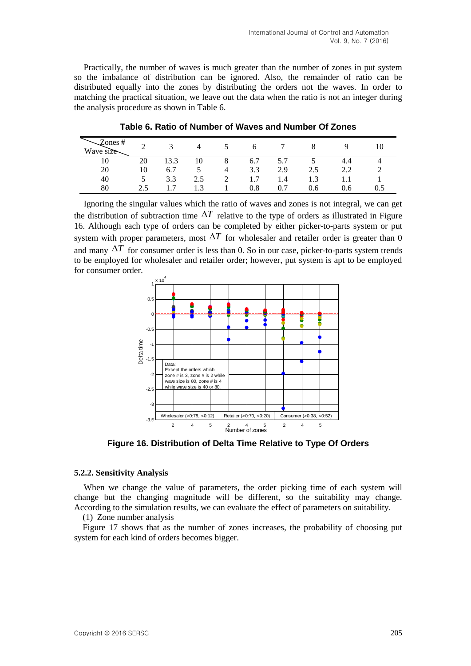Practically, the number of waves is much greater than the number of zones in put system so the imbalance of distribution can be ignored. Also, the remainder of ratio can be distributed equally into the zones by distributing the orders not the waves. In order to matching the practical situation, we leave out the data when the ratio is not an integer during the analysis procedure as shown in Table 6.

| Zones#<br>Wave size |     |      |     |   | O       |     |          |     |  |
|---------------------|-----|------|-----|---|---------|-----|----------|-----|--|
| 10                  | 20  | 13.3 | 10  | 8 | 6.7     | 5.7 |          | 4.4 |  |
| 20                  | 10  | 6.7  |     | 4 | 3.3     | 2.9 | 2.5      | ? ? |  |
| 40                  |     | 3.3  | 2.5 | ∠ | - 7     | 1.4 | 13<br>ل. |     |  |
| 80                  | 2.5 |      | . 3 |   | $0.8\,$ | 0.7 | 0.6      | 0.6 |  |

**Table 6. Ratio of Number of Waves and Number Of Zones**

Ignoring the singular values which the ratio of waves and zones is not integral, we can get the distribution of subtraction time  $\Delta T$  relative to the type of orders as illustrated in Figure 16. Although each type of orders can be completed by either picker-to-parts system or put system with proper parameters, most  $\Delta T$  for wholesaler and retailer order is greater than 0 and many  $\Delta T$  for consumer order is less than 0. So in our case, picker-to-parts system trends to be employed for wholesaler and retailer order; however, put system is apt to be employed for consumer order.



**Figure 16. Distribution of Delta Time Relative to Type Of Orders**

### **5.2.2. Sensitivity Analysis**

When we change the value of parameters, the order picking time of each system will change but the changing magnitude will be different, so the suitability may change. According to the simulation results, we can evaluate the effect of parameters on suitability.

(1) Zone number analysis

Figure 17 shows that as the number of zones increases, the probability of choosing put system for each kind of orders becomes bigger.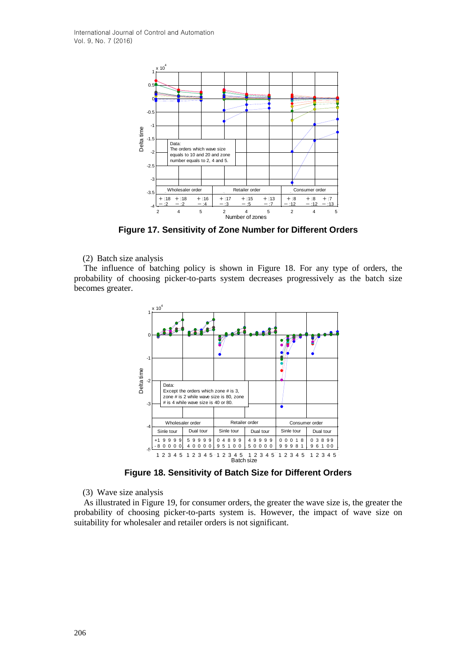

**Figure 17. Sensitivity of Zone Number for Different Orders**

(2) Batch size analysis

The influence of batching policy is shown in Figure 18. For any type of orders, the probability of choosing picker-to-parts system decreases progressively as the batch size becomes greater.



**Figure 18. Sensitivity of Batch Size for Different Orders**

(3) Wave size analysis

As illustrated in Figure 19, for consumer orders, the greater the wave size is, the greater the probability of choosing picker-to-parts system is. However, the impact of wave size on suitability for wholesaler and retailer orders is not significant.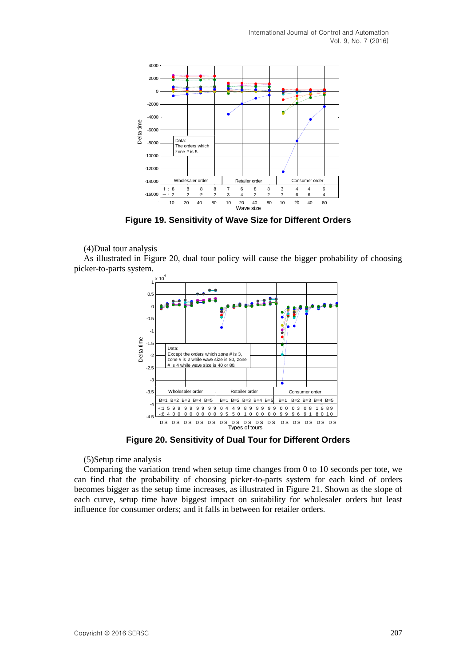International Journal of Control and Automation Vol. 9, No. 7 (2016)



**Figure 19. Sensitivity of Wave Size for Different Orders**

### (4)Dual tour analysis

As illustrated in Figure 20, dual tour policy will cause the bigger probability of choosing picker-to-parts system.



**Figure 20. Sensitivity of Dual Tour for Different Orders**

(5)Setup time analysis

Comparing the variation trend when setup time changes from 0 to 10 seconds per tote, we can find that the probability of choosing picker-to-parts system for each kind of orders becomes bigger as the setup time increases, as illustrated in Figure 21. Shown as the slope of each curve, setup time have biggest impact on suitability for wholesaler orders but least influence for consumer orders; and it falls in between for retailer orders.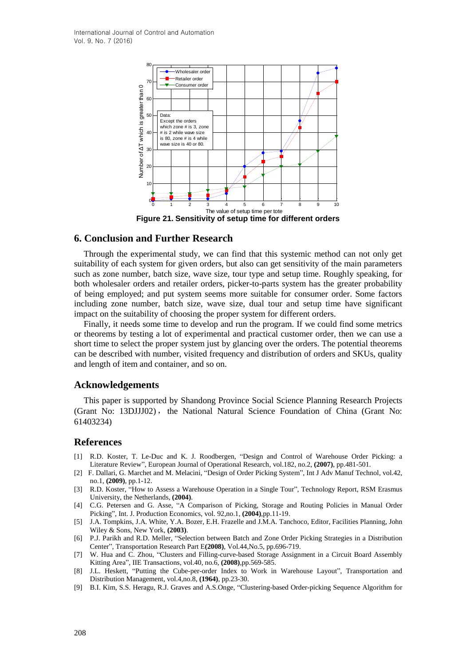

### **6. Conclusion and Further Research**

Through the experimental study, we can find that this systemic method can not only get suitability of each system for given orders, but also can get sensitivity of the main parameters such as zone number, batch size, wave size, tour type and setup time. Roughly speaking, for both wholesaler orders and retailer orders, picker-to-parts system has the greater probability of being employed; and put system seems more suitable for consumer order. Some factors including zone number, batch size, wave size, dual tour and setup time have significant impact on the suitability of choosing the proper system for different orders.

Finally, it needs some time to develop and run the program. If we could find some metrics or theorems by testing a lot of experimental and practical customer order, then we can use a short time to select the proper system just by glancing over the orders. The potential theorems can be described with number, visited frequency and distribution of orders and SKUs, quality and length of item and container, and so on.

### **Acknowledgements**

This paper is supported by Shandong Province Social Science Planning Research Projects (Grant No: 13DJJJ02), the National Natural Science Foundation of China (Grant No: 61403234)

### **References**

- [1] R.D. Koster, T. Le-Duc and K. J. Roodbergen, "Design and Control of Warehouse Order Picking: a Literature Review", European Journal of Operational Research, vol.182, no.2, **(2007)**, pp.481-501.
- [2] F. Dallari, G. Marchet and M. Melacini, "Design of Order Picking System", Int J Adv Manuf Technol, vol.42, no.1, **(2009)**, pp.1-12.
- [3] R.D. Koster, "How to Assess a Warehouse Operation in a Single Tour", Technology Report, RSM Erasmus University, the Netherlands, **(2004)**.
- [4] C.G. Petersen and G. Asse, "A Comparison of Picking, Storage and Routing Policies in Manual Order Picking", Int. J. Production Economics, vol. 92,no.1, **(2004)**,pp.11-19.
- [5] J.A. Tompkins, J.A. White, Y.A. Bozer, E.H. Frazelle and J.M.A. Tanchoco, Editor, Facilities Planning, John Wiley & Sons, New York, **(2003)**.
- [6] P.J. Parikh and R.D. Meller, "Selection between Batch and Zone Order Picking Strategies in a Distribution Center", Transportation Research Part E**(2008)**, Vol.44,No.5, pp.696-719.
- [7] W. Hua and C. Zhou, "Clusters and Filling-curve-based Storage Assignment in a Circuit Board Assembly Kitting Area", IIE Transactions, vol.40, no.6, **(2008)**,pp.569-585.
- [8] J.L. Heskett, "Putting the Cube-per-order Index to Work in Warehouse Layout", Transportation and Distribution Management, vol.4,no.8, **(1964)**, pp.23-30.
- [9] B.I. Kim, S.S. Heragu, R.J. Graves and A.S.Onge, "Clustering-based Order-picking Sequence Algorithm for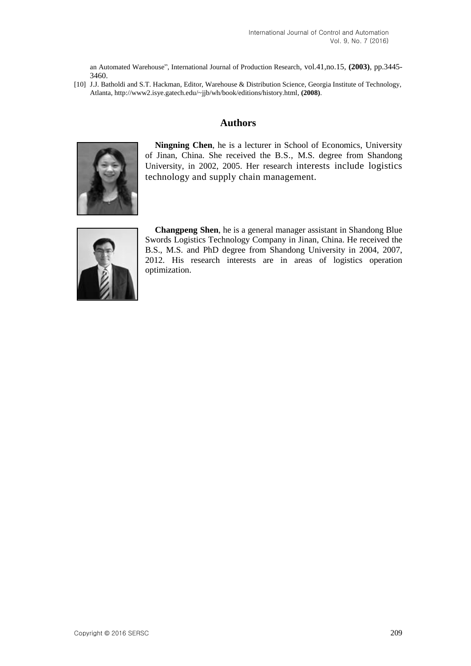an Automated Warehouse", International Journal of Production Research, vol.41,no.15, **(2003)**, pp.3445- 3460.

[10] J.J. Batholdi and S.T. Hackman, Editor, Warehouse & Distribution Science, Georgia Institute of Technology, Atlanta[, http://www2.isye.gatech.edu/~jjb/wh/book/editions/history.html,](http://www2.isye.gatech.edu/~jjb/wh/book/editions/history.html) **(2008)**.

## **Authors**



**Ningning Chen**, he is a lecturer in School of Economics, University of Jinan, China. She received the B.S., M.S. degree from Shandong University, in 2002, 2005. Her research interests include logistics technology and supply chain management.



**Changpeng Shen**, he is a general manager assistant in Shandong Blue Swords Logistics Technology Company in Jinan, China. He received the B.S., M.S. and PhD degree from Shandong University in 2004, 2007, 2012. His research interests are in areas of logistics operation optimization.